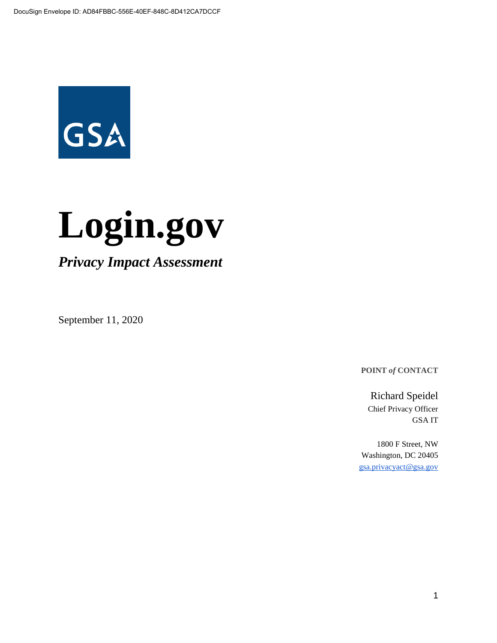

# **Login.gov**

*Privacy Impact Assessment*

September 11, 2020

**POINT** *of* **CONTACT**

Richard Speidel Chief Privacy Officer GSA IT

1800 F Street, NW Washington, DC 20405 [gsa.privacyact@gsa.gov](mailto:gsa.privacyact@gsa.gov)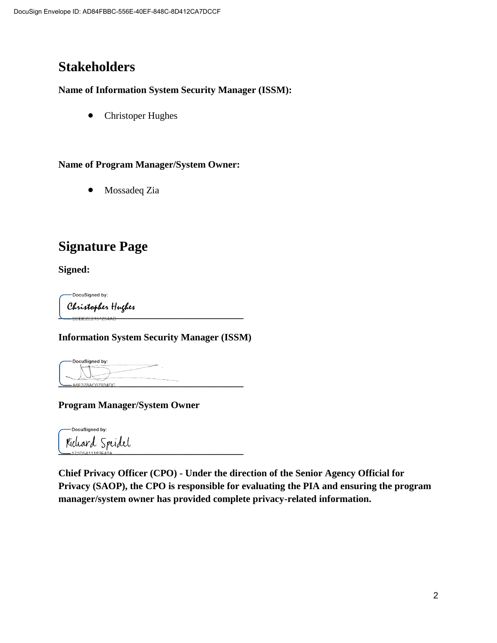# **Stakeholders**

#### **Name of Information System Security Manager (ISSM):**

● Christoper Hughes

#### **Name of Program Manager/System Owner:**

● Mossadeq Zia

# **Signature Page**

**Signed:**

DocuSigned by: **\_\_\_\_\_\_\_\_\_\_\_\_\_\_\_\_\_\_\_\_\_\_\_\_\_\_\_\_\_\_\_\_\_\_\_\_\_\_**

**Information System Security Manager (ISSM)**

DocuSianed by: **\_\_\_\_\_\_\_\_\_\_\_\_\_\_\_\_\_\_\_\_\_\_\_\_\_\_\_\_\_\_\_\_\_\_\_\_\_\_**

#### **Program Manager/System Owner**

DocuSigned by: **\_\_\_\_\_\_\_\_\_\_\_\_\_\_\_\_\_\_\_\_\_\_\_\_\_\_\_\_\_\_\_\_\_\_\_\_\_\_**

**Chief Privacy Officer (CPO) - Under the direction of the Senior Agency Official for Privacy (SAOP), the CPO is responsible for evaluating the PIA and ensuring the program manager/system owner has provided complete privacy-related information.**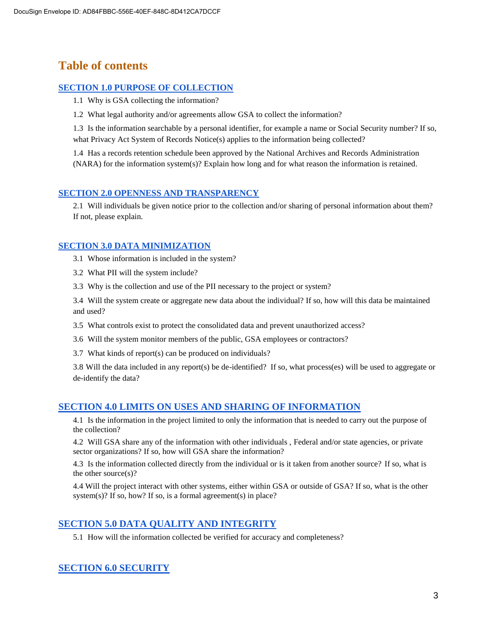# **Table of contents**

#### **[SECTION 1.0 PURPOSE OF COLLECTION](#page-4-0)**

- [1.1 Why is GSA collecting the information?](#page-5-0)
- 1.2 What legal authority and/or agreements allow GSA to collect the information?

[1.3 Is the information searchable by a personal identifier, for example a name or Social Security number? If so,](#page-9-0)  [what Privacy Act System of Records Notice\(s\) applies to the information being collected?](#page-9-0)

[1.4 Has a records retention schedule been approved by the National Archives and Records Administration](#page-9-1)  [\(NARA\) for the information system\(s\)? Explain how long and for what reason the information is retained.](#page-9-1)

#### **[SECTION 2.0 OPENNESS AND TRANSPARENCY](#page-9-2)**

[2.1 Will individuals be given notice prior to the collection and/or sharing of personal information about them?](#page-10-0)  [If not, please explain.](#page-10-0)

#### **[SECTION 3.0 DATA MINIMIZATION](#page-10-1)**

3.1 [Whose information is included in the system?](#page-10-2)

- 3.2 What PII will the system include?
- 3.3 [Why is the collection and use of the PII necessary to the project or system?](https://docs.google.com/document/d/1lwm2TfRPuHoVTlOnx5x28zUF66bhoxx_hGUDCGQ76yg/edit#heading=h.cjesphreupil)

3.4 Will the system create or aggregate new data about the individual? If so, how will this data be maintained and used?

- [3.5 What controls exist to protect the consolidated data and prevent unauthorized access?](#page-11-0)
- [3.6 Will the system monitor members of the public, GSA employees or contractors?](https://docs.google.com/document/d/1lwm2TfRPuHoVTlOnx5x28zUF66bhoxx_hGUDCGQ76yg/edit#heading=h.2phdqsbqm2z3)
- [3.7 What kinds of report\(s\) can be produced on individuals?](https://docs.google.com/document/d/1lwm2TfRPuHoVTlOnx5x28zUF66bhoxx_hGUDCGQ76yg/edit#heading=h.szhqpud2o5nr)

[3.8](#page-13-0) [Will the data included in any report\(s\) be de-identified?](#page-13-0) If so, what process(es) will be used to aggregate or de-identify the data?

#### **[SECTION 4.0 LIMITS ON USES AND SHARING OF INFORMATION](#page-13-1)**

[4.1 Is the information in the project limited to only the information that is needed to carry out the purpose of](#page-14-0)  [the collection?](#page-14-0)

4.2 Will GSA share any of the information with other individuals , Federal and/or state agencies, or private sector organizations? If so, how will GSA share the information?

4.3 [Is the information collected directly from the individual or is it taken from another source?](#page-15-0) If so, what is the other source(s)?

[4.4 Will the project interact with other systems, either within GSA or outside of GSA? If so, what is the other](#page-15-1)  [system\(s\)?](#page-15-1) If so, how? If so, is a formal agreement(s) in place?

#### **[SECTION 5.0 DATA QUALITY AND INTEGRITY](#page-16-0)**

[5.1 How will the information collected be verified for accuracy and completeness?](#page-16-1)

#### **[SECTION 6.0 SECURITY](#page-16-2)**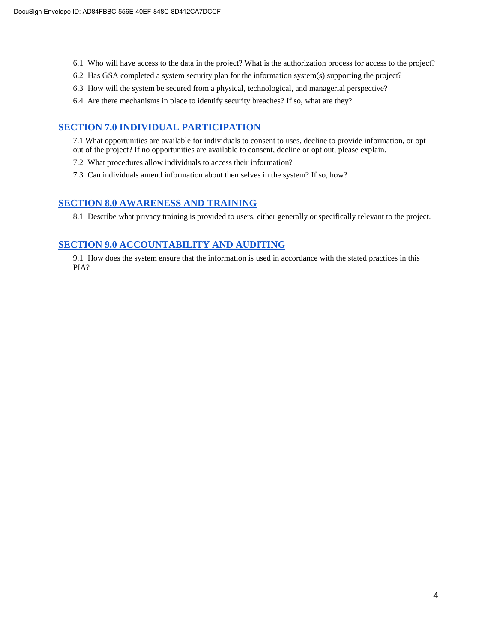- [6.1 Who will have access to the data in the project? What is the authorization process for access to the project?](#page-16-3)
- [6.2 Has GSA completed a system security plan for the information system\(s\) supporting the project?](https://docs.google.com/document/d/1lwm2TfRPuHoVTlOnx5x28zUF66bhoxx_hGUDCGQ76yg/edit#heading=h.hwuoi8j87e8p)
- [6.3 How will the system be secured from a physical,](https://docs.google.com/document/d/1lwm2TfRPuHoVTlOnx5x28zUF66bhoxx_hGUDCGQ76yg/edit#heading=h.9hb82uolxoxt) technological, and managerial perspective?
- 6.4 Are there mechanisms in place to identify security breaches? If so, what are they?

#### **SECTION 7.0 INDIVIDUAL PARTICIPATION**

- [7.1 What opportunities are available for individuals to consent to uses, decline to provide information, or opt](https://docs.google.com/document/d/1lwm2TfRPuHoVTlOnx5x28zUF66bhoxx_hGUDCGQ76yg/edit#heading=h.g4yir3j2b2e2)  [out of the project? If no opportunities are available to consent, decline or opt out, please explain.](https://docs.google.com/document/d/1lwm2TfRPuHoVTlOnx5x28zUF66bhoxx_hGUDCGQ76yg/edit#heading=h.g4yir3j2b2e2)
- [7.2 What procedures allow individuals to access their information?](https://docs.google.com/document/d/1lwm2TfRPuHoVTlOnx5x28zUF66bhoxx_hGUDCGQ76yg/edit#heading=h.78le5ojb8kxx)
- [7.3 Can individuals amend information about themselves in the system? If so, how?](https://docs.google.com/document/d/1lwm2TfRPuHoVTlOnx5x28zUF66bhoxx_hGUDCGQ76yg/edit#heading=h.l1jb4vu0hx40)

#### **[SECTION 8.0 AWARENESS AND TRAINING](#page-19-0)**

[8.1 Describe what privacy training is provided to users, either generally or specifically relevant to the project.](#page-19-1)

#### **[SECTION 9.0 ACCOUNTABILITY AND AUDITING](https://docs.google.com/document/d/1lwm2TfRPuHoVTlOnx5x28zUF66bhoxx_hGUDCGQ76yg/edit#heading=h.osj5xcmzevl0)**

[9.1 How does the system ensure that the information is](#page-19-2) used in accordance with the stated practices in this [PIA?](#page-19-2)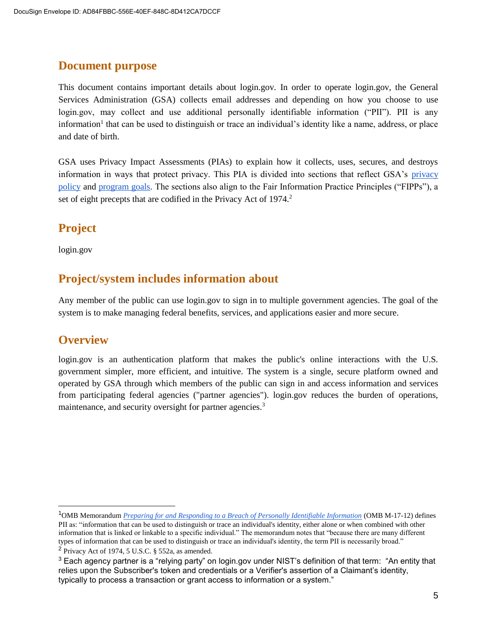## **Document purpose**

This document contains important details about login.gov*.* In order to operate login.gov, the General Services Administration (GSA) collects email addresses and depending on how you choose to use login.gov, may collect and use additional personally identifiable information ("PII"). PII is any information<sup>1</sup> that can be used to distinguish or trace an individual's identity like a name, address, or place and date of birth.

GSA uses Privacy Impact Assessments (PIAs) to explain how it collects, uses, secures, and destroys information in ways that protect privacy. This PIA is divided into sections that reflect GSA's [privacy](https://www.gsa.gov/portal/category/21419) [policy](https://www.gsa.gov/portal/category/21419) and [program goals.](https://www.gsa.gov/portal/category/21419) The sections also align to the Fair Information Practice Principles ("FIPPs"), a set of eight precepts that are codified in the Privacy Act of 1974.<sup>2</sup>

# **Project**

login.gov

## **Project/system includes information about**

Any member of the public can use login.gov to sign in to multiple government agencies. The goal of the system is to make managing federal benefits, services, and applications easier and more secure.

## **Overview**

<span id="page-4-0"></span>login.gov is an authentication platform that makes the public's online interactions with the U.S. government simpler, more efficient, and intuitive. The system is a single, secure platform owned and operated by GSA through which members of the public can sign in and access information and services from participating federal agencies ("partner agencies"). login.gov reduces the burden of operations, maintenance, and security oversight for partner agencies.<sup>3</sup>

<sup>1</sup>OMB Memorandum *[Preparing for and Responding to a Breach of Personally Identifiable Information](https://obamawhitehouse.archives.gov/sites/default/files/omb/memoranda/2017/m-17-12_0.pdf)* (OMB M-17-12) defines PII as: "information that can be used to distinguish or trace an individual's identity, either alone or when combined with other information that is linked or linkable to a specific individual." The memorandum notes that "because there are many different types of information that can be used to distinguish or trace an individual's identity, the term PII is necessarily broad." <sup>2</sup> Privacy Act of 1974, 5 U.S.C.  $\S$  552a, as amended.

<sup>&</sup>lt;sup>3</sup> Each agency partner is a "relying party" on login.gov under NIST's definition of that term: "An entity that relies upon the Subscriber's token and credentials or a Verifier's assertion of a Claimant's identity, typically to process a transaction or grant access to information or a system."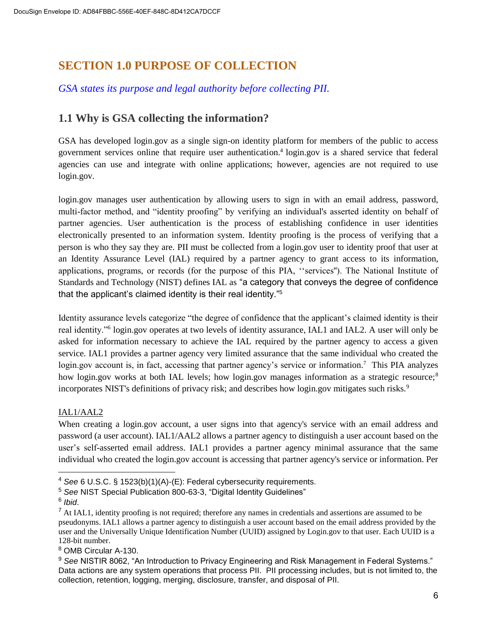# **SECTION 1.0 PURPOSE OF COLLECTION**

## *GSA states its purpose and legal authority before collecting PII.*

#### <span id="page-5-0"></span>**1.1 Why is GSA collecting the information?**

GSA has developed login.gov as a single sign-on identity platform for members of the public to access government services online that require user authentication.<sup>4</sup> login.gov is a shared service that federal agencies can use and integrate with online applications; however, agencies are not required to use login.gov.

login.gov manages user authentication by allowing users to sign in with an email address, password, multi-factor method, and "identity proofing" by verifying an individual's asserted identity on behalf of partner agencies. User authentication is the process of establishing confidence in user identities electronically presented to an information system. Identity proofing is the process of verifying that a person is who they say they are. PII must be collected from a login.gov user to identity proof that user at an Identity Assurance Level (IAL) required by a partner agency to grant access to its information, applications, programs, or records (for the purpose of this PIA, ''services''). The National Institute of Standards and Technology (NIST) defines IAL as "a category that conveys the degree of confidence that the applicant's claimed identity is their real identity."<sup>5</sup>

Identity assurance levels categorize "the degree of confidence that the applicant's claimed identity is their real identity."<sup>6</sup> login.gov operates at two levels of identity assurance, IAL1 and IAL2. A user will only be asked for information necessary to achieve the IAL required by the partner agency to access a given service. IAL1 provides a partner agency very limited assurance that the same individual who created the login.gov account is, in fact, accessing that partner agency's service or information.<sup>7</sup> This PIA analyzes how login.gov works at both IAL levels; how login.gov manages information as a strategic resource;<sup>8</sup> incorporates NIST's definitions of privacy risk; and describes how login.gov mitigates such risks.<sup>9</sup>

#### IAL1/AAL2

When creating a login.gov account, a user signs into that agency's service with an email address and password (a user account). IAL1/AAL2 allows a partner agency to distinguish a user account based on the user's self-asserted email address. IAL1 provides a partner agency minimal assurance that the same individual who created the login.gov account is accessing that partner agency's service or information. Per

<sup>4</sup> *See* 6 U.S.C. § 1523(b)(1)(A)-(E): Federal cybersecurity requirements.

<sup>5</sup> *See* NIST Special Publication 800-63-3, "Digital Identity Guidelines"

<sup>6</sup> *Ibid*.

<sup>&</sup>lt;sup>7</sup> At IAL1, identity proofing is not required; therefore any names in credentials and assertions are assumed to be pseudonyms. IAL1 allows a partner agency to distinguish a user account based on the email address provided by the user and the Universally Unique Identification Number (UUID) assigned by Login.gov to that user. Each UUID is a 128-bit number.

<sup>8</sup> OMB Circular A-130.

<sup>9</sup> *See* NISTIR 8062, "An Introduction to Privacy Engineering and Risk Management in Federal Systems." Data actions are any system operations that process PII. PII processing includes, but is not limited to, the collection, retention, logging, merging, disclosure, transfer, and disposal of PII.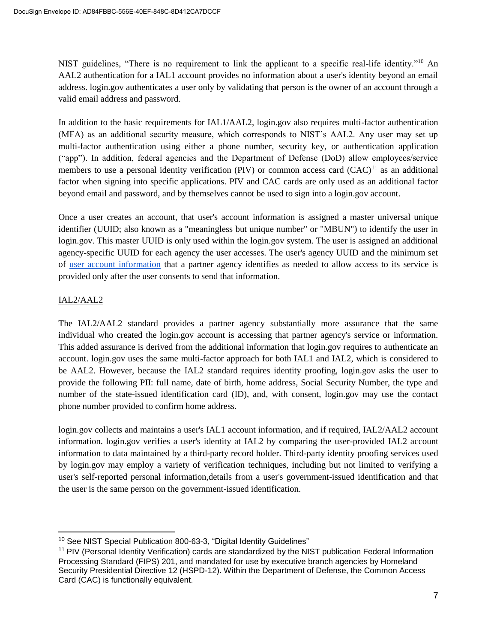NIST guidelines, "There is no requirement to link the applicant to a specific real-life identity."<sup>10</sup> An AAL2 authentication for a IAL1 account provides no information about a user's identity beyond an email address. login.gov authenticates a user only by validating that person is the owner of an account through a valid email address and password.

In addition to the basic requirements for IAL1/AAL2, login.gov also requires multi-factor authentication (MFA) as an additional security measure, which corresponds to NIST's AAL2. Any user may set up multi-factor authentication using either a phone number, security key, or authentication application ("app"). In addition, federal agencies and the Department of Defense (DoD) allow employees/service members to use a personal identity verification (PIV) or common access card  $(CAC)^{11}$  as an additional factor when signing into specific applications. PIV and CAC cards are only used as an additional factor beyond email and password, and by themselves cannot be used to sign into a login.gov account.

Once a user creates an account, that user's account information is assigned a master universal unique identifier (UUID; also known as a "meaningless but unique number" or "MBUN") to identify the user in login.gov. This master UUID is only used within the login.gov system. The user is assigned an additional agency-specific UUID for each agency the user accesses. The user's agency UUID and the minimum set of [user account information](https://developers.login.gov/attributes/) that a partner agency identifies as needed to allow access to its service is provided only after the user consents to send that information.

#### IAL2/AAL2

The IAL2/AAL2 standard provides a partner agency substantially more assurance that the same individual who created the login.gov account is accessing that partner agency's service or information. This added assurance is derived from the additional information that login.gov requires to authenticate an account. login.gov uses the same multi-factor approach for both IAL1 and IAL2, which is considered to be AAL2. However, because the IAL2 standard requires identity proofing, login.gov asks the user to provide the following PII: full name, date of birth, home address, Social Security Number, the type and number of the state-issued identification card (ID), and, with consent, login.gov may use the contact phone number provided to confirm home address.

login.gov collects and maintains a user's IAL1 account information, and if required, IAL2/AAL2 account information. login.gov verifies a user's identity at IAL2 by comparing the user-provided IAL2 account information to data maintained by a third-party record holder. Third-party identity proofing services used by login.gov may employ a variety of verification techniques, including but not limited to verifying a user's self-reported personal information,details from a user's government-issued identification and that the user is the same person on the government-issued identification.

<sup>&</sup>lt;sup>10</sup> See NIST Special Publication 800-63-3, "Digital Identity Guidelines"

<sup>&</sup>lt;sup>11</sup> PIV (Personal Identity Verification) cards are standardized by the NIST publication Federal Information Processing Standard (FIPS) 201, and mandated for use by executive branch agencies by Homeland Security Presidential Directive 12 (HSPD-12). Within the Department of Defense, the Common Access Card (CAC) is functionally equivalent.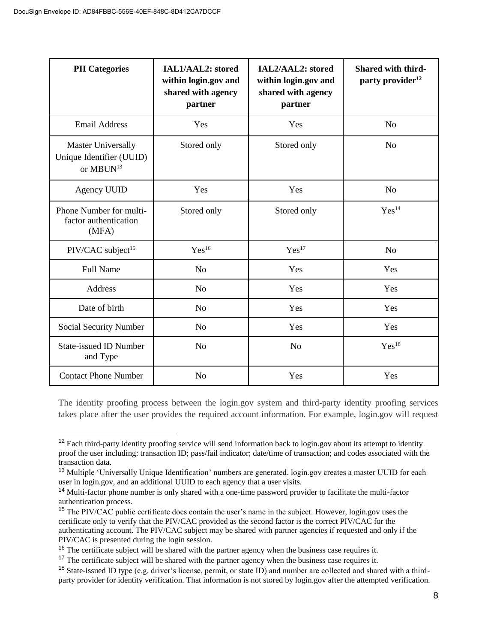| <b>PII</b> Categories                                                          | IAL1/AAL2: stored<br>within login.gov and<br>shared with agency<br>partner | IAL2/AAL2: stored<br>within login.gov and<br>shared with agency<br>partner | <b>Shared with third-</b><br>party provider <sup>12</sup> |
|--------------------------------------------------------------------------------|----------------------------------------------------------------------------|----------------------------------------------------------------------------|-----------------------------------------------------------|
| <b>Email Address</b>                                                           | Yes                                                                        | Yes                                                                        | N <sub>o</sub>                                            |
| <b>Master Universally</b><br>Unique Identifier (UUID)<br>or MBUN <sup>13</sup> | Stored only<br>Stored only                                                 |                                                                            | N <sub>o</sub>                                            |
| <b>Agency UUID</b>                                                             | Yes                                                                        | Yes                                                                        | No                                                        |
| Phone Number for multi-<br>factor authentication<br>(MFA)                      | Stored only                                                                | Stored only                                                                | Yes <sup>14</sup>                                         |
| PIV/CAC subject <sup>15</sup>                                                  | Yes <sup>16</sup>                                                          | Yes <sup>17</sup>                                                          | N <sub>o</sub>                                            |
| <b>Full Name</b>                                                               | N <sub>o</sub>                                                             | Yes                                                                        | Yes                                                       |
| Address                                                                        | N <sub>0</sub>                                                             | Yes                                                                        | Yes                                                       |
| Date of birth                                                                  | N <sub>o</sub>                                                             | Yes                                                                        | Yes                                                       |
| Social Security Number                                                         | N <sub>o</sub>                                                             | Yes                                                                        | Yes                                                       |
| <b>State-issued ID Number</b><br>and Type                                      | N <sub>o</sub>                                                             | N <sub>o</sub>                                                             | $Yes^{18}$                                                |
| <b>Contact Phone Number</b>                                                    | N <sub>o</sub>                                                             | Yes                                                                        | Yes                                                       |

The identity proofing process between the login.gov system and third-party identity proofing services takes place after the user provides the required account information. For example, login.gov will request

<sup>&</sup>lt;sup>12</sup> Each third-party identity proofing service will send information back to login.gov about its attempt to identity proof the user including: transaction ID; pass/fail indicator; date/time of transaction; and codes associated with the transaction data.

<sup>13</sup> Multiple 'Universally Unique Identification' numbers are generated. login.gov creates a master UUID for each user in login.gov, and an additional UUID to each agency that a user visits.

<sup>14</sup> Multi-factor phone number is only shared with a one-time password provider to facilitate the multi-factor authentication process.

<sup>&</sup>lt;sup>15</sup> The PIV/CAC public certificate does contain the user's name in the subject. However, login.gov uses the certificate only to verify that the PIV/CAC provided as the second factor is the correct PIV/CAC for the authenticating account. The PIV/CAC subject may be shared with partner agencies if requested and only if the PIV/CAC is presented during the login session.

<sup>&</sup>lt;sup>16</sup> The certificate subject will be shared with the partner agency when the business case requires it.

<sup>&</sup>lt;sup>17</sup> The certificate subject will be shared with the partner agency when the business case requires it.

<sup>18</sup> State-issued ID type (e.g. driver's license, permit, or state ID) and number are collected and shared with a thirdparty provider for identity verification. That information is not stored by login.gov after the attempted verification.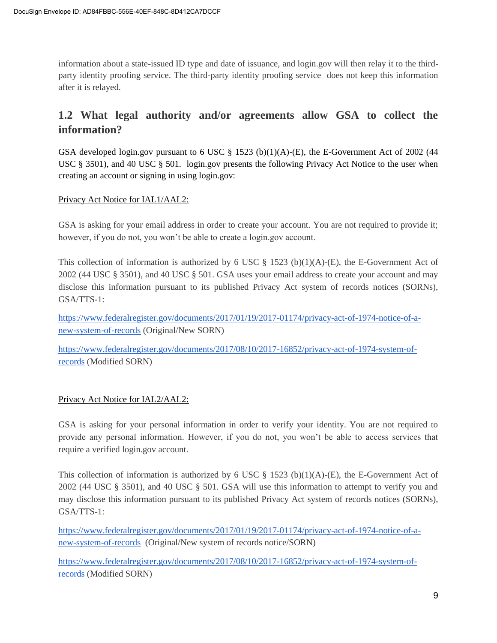information about a state-issued ID type and date of issuance, and login.gov will then relay it to the thirdparty identity proofing service. The third-party identity proofing service does not keep this information after it is relayed.

## **1.2 What legal authority and/or agreements allow GSA to collect the information?**

GSA developed login.gov pursuant to 6 USC  $\S$  1523 (b)(1)(A)-(E), the E-Government Act of 2002 (44 USC § 3501), and 40 USC § 501. login.gov presents the following Privacy Act Notice to the user when creating an account or signing in using login.gov:

#### Privacy Act Notice for IAL1/AAL2:

GSA is asking for your email address in order to create your account. You are not required to provide it; however, if you do not, you won't be able to create a login.gov account.

This collection of information is authorized by 6 USC  $\S$  1523 (b)(1)(A)-(E), the E-Government Act of 2002 (44 USC § 3501), and 40 USC § 501. GSA uses your email address to create your account and may disclose this information pursuant to its published Privacy Act system of records notices (SORNs), GSA/TTS-1:

[https://www.federalregister.gov/documents/2017/01/19/2017-01174/privacy-act-of-1974-notice-of-a](https://www.federalregister.gov/documents/2017/01/19/2017-01174/privacy-act-of-1974-notice-of-a-new-system-of-records)[new-system-of-records](https://www.federalregister.gov/documents/2017/01/19/2017-01174/privacy-act-of-1974-notice-of-a-new-system-of-records) (Original/New SORN)

[https://www.federalregister.gov/documents/2017/08/10/2017-16852/privacy-act-of-1974-system-of](https://www.federalregister.gov/documents/2017/08/10/2017-16852/privacy-act-of-1974-system-of-records)[records](https://www.federalregister.gov/documents/2017/08/10/2017-16852/privacy-act-of-1974-system-of-records) (Modified SORN)

#### Privacy Act Notice for IAL2/AAL2:

GSA is asking for your personal information in order to verify your identity. You are not required to provide any personal information. However, if you do not, you won't be able to access services that require a verified login.gov account.

This collection of information is authorized by 6 USC  $\S$  1523 (b)(1)(A)-(E), the E-Government Act of 2002 (44 USC § 3501), and 40 USC § 501. GSA will use this information to attempt to verify you and may disclose this information pursuant to its published Privacy Act system of records notices (SORNs), GSA/TTS-1:

[https://www.federalregister.gov/documents/2017/01/19/2017-01174/privacy-act-of-1974-notice-of-a](https://www.federalregister.gov/documents/2017/01/19/2017-01174/privacy-act-of-1974-notice-of-a-new-system-of-records)[new-system-of-records](https://www.federalregister.gov/documents/2017/01/19/2017-01174/privacy-act-of-1974-notice-of-a-new-system-of-records) (Original/New system of records notice/SORN)

[https://www.federalregister.gov/documents/2017/08/10/2017-16852/privacy-act-of-1974-system-of](https://www.federalregister.gov/documents/2017/08/10/2017-16852/privacy-act-of-1974-system-of-records)[records](https://www.federalregister.gov/documents/2017/08/10/2017-16852/privacy-act-of-1974-system-of-records) (Modified SORN)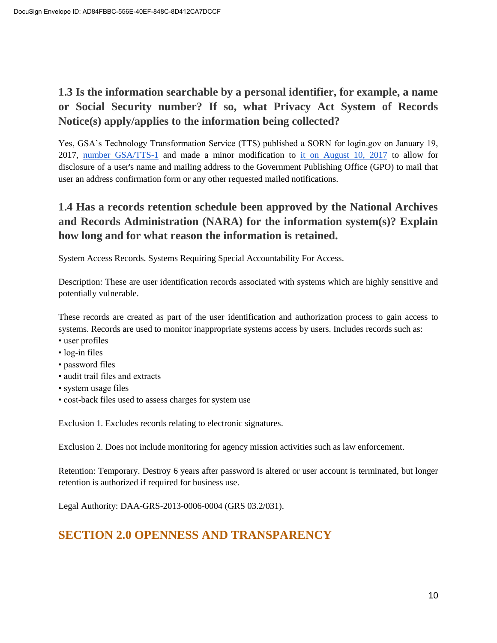# <span id="page-9-0"></span>**1.3 Is the information searchable by a personal identifier, for example, a name or Social Security number? If so, what Privacy Act System of Records Notice(s) apply/applies to the information being collected?**

Yes, GSA's Technology Transformation Service (TTS) published a SORN for login.gov on January 19, 2017, [number GSA/TTS-1](https://www.federalregister.gov/documents/2017/01/19/2017-01174/privacy-act-of-1974-notice-of-a-new-system-of-records) and made a minor modification to [it on August 10, 2017](https://www.federalregister.gov/documents/2017/08/10/2017-16852/privacy-act-of-1974-system-of-records) [to allow](https://www.federalregister.gov/documents/2017/08/10/2017-16852/privacy-act-of-1974-system-of-records) for disclosure of a user's name and mailing address to the Government Publishing Office (GPO) to mail that user an address confirmation form or any other requested mailed notifications.

# <span id="page-9-1"></span>**1.4 Has a records retention schedule been approved by the National Archives and Records Administration (NARA) for the information system(s)? Explain how long and for what reason the information is retained.**

System Access Records. Systems Requiring Special Accountability For Access.

Description: These are user identification records associated with systems which are highly sensitive and potentially vulnerable.

These records are created as part of the user identification and authorization process to gain access to systems. Records are used to monitor inappropriate systems access by users. Includes records such as:

- user profiles
- log-in files
- password files
- audit trail files and extracts
- system usage files
- cost-back files used to assess charges for system use

Exclusion 1. Excludes records relating to electronic signatures.

Exclusion 2. Does not include monitoring for agency mission activities such as law enforcement.

Retention: Temporary. Destroy 6 years after password is altered or user account is terminated, but longer retention is authorized if required for business use.

<span id="page-9-2"></span>Legal Authority: DAA-GRS-2013-0006-0004 (GRS 03.2/031).

# **SECTION 2.0 OPENNESS AND TRANSPARENCY**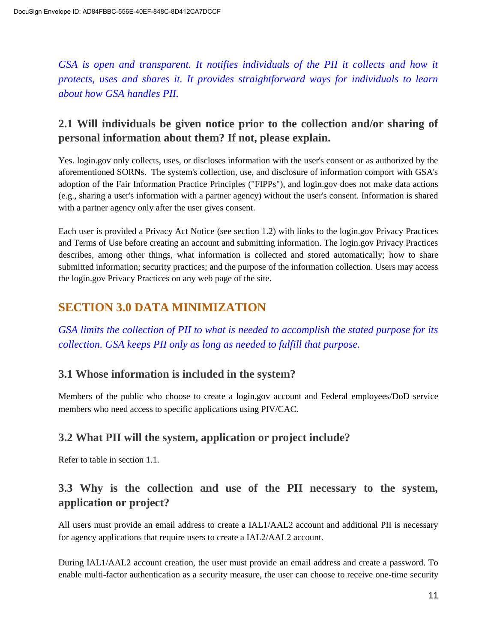*GSA is open and transparent. It notifies individuals of the PII it collects and how it protects, uses and shares it. It provides straightforward ways for individuals to learn about how GSA handles PII.*

## <span id="page-10-0"></span>**2.1 Will individuals be given notice prior to the collection and/or sharing of personal information about them? If not, please explain.**

Yes. login.gov only collects, uses, or discloses information with the user's consent or as authorized by the aforementioned SORNs. The system's collection, use, and disclosure of information comport with GSA's adoption of the Fair Information Practice Principles ("FIPPs"), and login.gov does not make data actions (e.g., sharing a user's information with a partner agency) without the user's consent. Information is shared with a partner agency only after the user gives consent.

Each user is provided a Privacy Act Notice (see section 1.2) with links to the login.gov Privacy Practices and Terms of Use before creating an account and submitting information. The login.gov Privacy Practices describes, among other things, what information is collected and stored automatically; how to share submitted information; security practices; and the purpose of the information collection. Users may access the login.gov Privacy Practices on any web page of the site.

# <span id="page-10-1"></span>**SECTION 3.0 DATA MINIMIZATION**

*GSA limits the collection of PII to what is needed to accomplish the stated purpose for its collection. GSA keeps PII only as long as needed to fulfill that purpose.*

## <span id="page-10-2"></span>**3.1 Whose information is included in the system?**

Members of the public who choose to create a login.gov account and Federal employees/DoD service members who need access to specific applications using PIV/CAC.

## **3.2 What PII will the system, application or project include?**

Refer to table in section 1.1.

## **3.3 Why is the collection and use of the PII necessary to the system, application or project?**

All users must provide an email address to create a IAL1/AAL2 account and additional PII is necessary for agency applications that require users to create a IAL2/AAL2 account.

During IAL1/AAL2 account creation, the user must provide an email address and create a password. To enable multi-factor authentication as a security measure, the user can choose to receive one-time security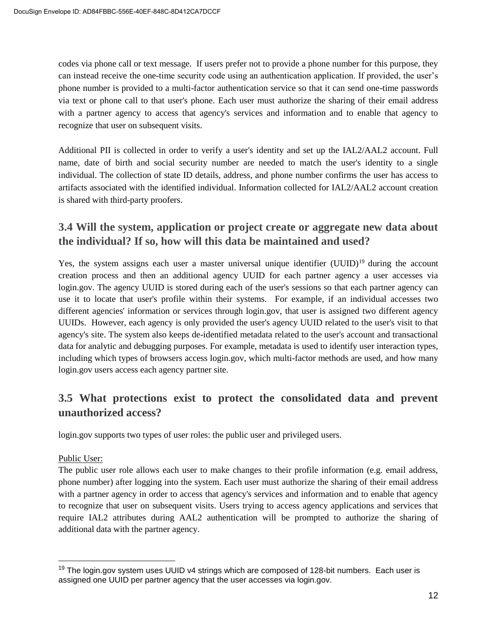codes via phone call or text message. If users prefer not to provide a phone number for this purpose, they can instead receive the one-time security code using an authentication application. If provided, the user's phone number is provided to a multi-factor authentication service so that it can send one-time passwords via text or phone call to that user's phone. Each user must authorize the sharing of their email address with a partner agency to access that agency's services and information and to enable that agency to recognize that user on subsequent visits.

Additional PII is collected in order to verify a user's identity and set up the IAL2/AAL2 account. Full name, date of birth and social security number are needed to match the user's identity to a single individual. The collection of state ID details, address, and phone number confirms the user has access to artifacts associated with the identified individual. Information collected for IAL2/AAL2 account creation is shared with third-party proofers.

## **3.4 Will the system, application or project create or aggregate new data about the individual? If so, how will this data be maintained and used?**

Yes, the system assigns each user a master universal unique identifier (UUID)<sup>19</sup> during the account creation process and then an additional agency UUID for each partner agency a user accesses via login.gov. The agency UUID is stored during each of the user's sessions so that each partner agency can use it to locate that user's profile within their systems. For example, if an individual accesses two different agencies' information or services through login.gov, that user is assigned two different agency UUIDs. However, each agency is only provided the user's agency UUID related to the user's visit to that agency's site. The system also keeps de-identified metadata related to the user's account and transactional data for analytic and debugging purposes. For example, metadata is used to identify user interaction types, including which types of browsers access login.gov, which multi-factor methods are used, and how many login.gov users access each agency partner site.

## <span id="page-11-0"></span>**3.5 What protections exist to protect the consolidated data and prevent unauthorized access?**

login.gov supports two types of user roles: the public user and privileged users.

#### Public User:

The public user role allows each user to make changes to their profile information (e.g. email address, phone number) after logging into the system. Each user must authorize the sharing of their email address with a partner agency in order to access that agency's services and information and to enable that agency to recognize that user on subsequent visits. Users trying to access agency applications and services that require IAL2 attributes during AAL2 authentication will be prompted to authorize the sharing of additional data with the partner agency.

<sup>&</sup>lt;sup>19</sup> The login.gov system uses UUID v4 strings which are composed of 128-bit numbers. Each user is assigned one UUID per partner agency that the user accesses via login.gov.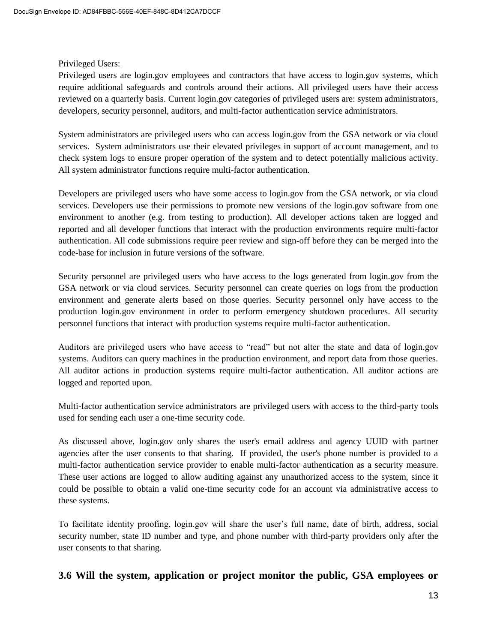#### Privileged Users:

Privileged users are login.gov employees and contractors that have access to login.gov systems, which require additional safeguards and controls around their actions. All privileged users have their access reviewed on a quarterly basis. Current login.gov categories of privileged users are: system administrators, developers, security personnel, auditors, and multi-factor authentication service administrators.

System administrators are privileged users who can access login.gov from the GSA network or via cloud services. System administrators use their elevated privileges in support of account management, and to check system logs to ensure proper operation of the system and to detect potentially malicious activity. All system administrator functions require multi-factor authentication.

Developers are privileged users who have some access to login.gov from the GSA network, or via cloud services. Developers use their permissions to promote new versions of the login.gov software from one environment to another (e.g. from testing to production). All developer actions taken are logged and reported and all developer functions that interact with the production environments require multi-factor authentication. All code submissions require peer review and sign-off before they can be merged into the code-base for inclusion in future versions of the software.

Security personnel are privileged users who have access to the logs generated from login.gov from the GSA network or via cloud services. Security personnel can create queries on logs from the production environment and generate alerts based on those queries. Security personnel only have access to the production login.gov environment in order to perform emergency shutdown procedures. All security personnel functions that interact with production systems require multi-factor authentication.

Auditors are privileged users who have access to "read" but not alter the state and data of login.gov systems. Auditors can query machines in the production environment, and report data from those queries. All auditor actions in production systems require multi-factor authentication. All auditor actions are logged and reported upon.

Multi-factor authentication service administrators are privileged users with access to the third-party tools used for sending each user a one-time security code.

As discussed above, login.gov only shares the user's email address and agency UUID with partner agencies after the user consents to that sharing. If provided, the user's phone number is provided to a multi-factor authentication service provider to enable multi-factor authentication as a security measure. These user actions are logged to allow auditing against any unauthorized access to the system, since it could be possible to obtain a valid one-time security code for an account via administrative access to these systems.

To facilitate identity proofing, login.gov will share the user's full name, date of birth, address, social security number, state ID number and type, and phone number with third-party providers only after the user consents to that sharing.

**3.6 Will the system, application or project monitor the public, GSA employees or**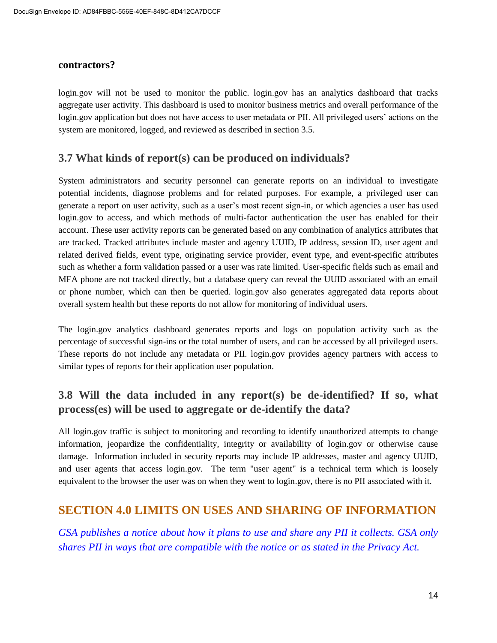#### **contractors?**

login.gov will not be used to monitor the public. login.gov has an analytics dashboard that tracks aggregate user activity. This dashboard is used to monitor business metrics and overall performance of the login.gov application but does not have access to user metadata or PII. All privileged users' actions on the system are monitored, logged, and reviewed as described in section 3.5.

#### **3.7 What kinds of report(s) can be produced on individuals?**

System administrators and security personnel can generate reports on an individual to investigate potential incidents, diagnose problems and for related purposes. For example, a privileged user can generate a report on user activity, such as a user's most recent sign-in, or which agencies a user has used login.gov to access, and which methods of multi-factor authentication the user has enabled for their account. These user activity reports can be generated based on any combination of analytics attributes that are tracked. Tracked attributes include master and agency UUID, IP address, session ID, user agent and related derived fields, event type, originating service provider, event type, and event-specific attributes such as whether a form validation passed or a user was rate limited. User-specific fields such as email and MFA phone are not tracked directly, but a database query can reveal the UUID associated with an email or phone number, which can then be queried. login.gov also generates aggregated data reports about overall system health but these reports do not allow for monitoring of individual users.

The login.gov analytics dashboard generates reports and logs on population activity such as the percentage of successful sign-ins or the total number of users, and can be accessed by all privileged users. These reports do not include any metadata or PII. login.gov provides agency partners with access to similar types of reports for their application user population.

## <span id="page-13-0"></span>**3.8 Will the data included in any report(s) be de-identified? If so, what process(es) will be used to aggregate or de-identify the data?**

All login.gov traffic is subject to monitoring and recording to identify unauthorized attempts to change information, jeopardize the confidentiality, integrity or availability of login.gov or otherwise cause damage. Information included in security reports may include IP addresses, master and agency UUID, and user agents that access login.gov. The term "user agent" is a technical term which is loosely equivalent to the browser the user was on when they went to login.gov, there is no PII associated with it.

## <span id="page-13-1"></span>**SECTION 4.0 LIMITS ON USES AND SHARING OF INFORMATION**

*GSA publishes a notice about how it plans to use and share any PII it collects. GSA only shares PII in ways that are compatible with the notice or as stated in the Privacy Act.*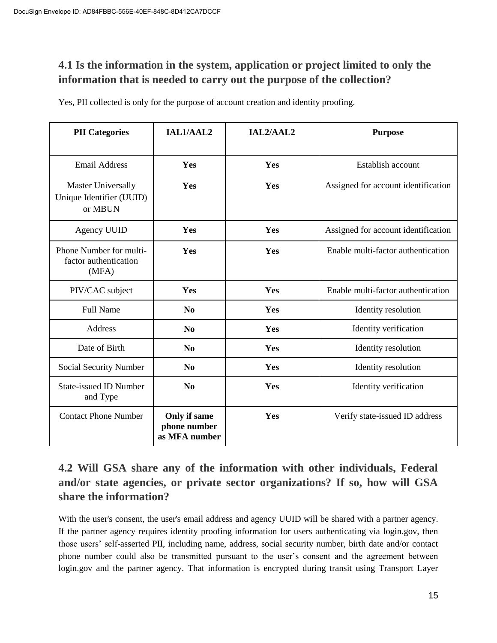# <span id="page-14-0"></span>**4.1 Is the information in the system, application or project limited to only the information that is needed to carry out the purpose of the collection?**

Yes, PII collected is only for the purpose of account creation and identity proofing.

| <b>PII</b> Categories                                            | IAL1/AAL2                                     | IAL2/AAL2 | <b>Purpose</b>                      |
|------------------------------------------------------------------|-----------------------------------------------|-----------|-------------------------------------|
| <b>Email Address</b>                                             | Yes                                           | Yes       | Establish account                   |
| <b>Master Universally</b><br>Unique Identifier (UUID)<br>or MBUN | Yes                                           | Yes       | Assigned for account identification |
| <b>Agency UUID</b>                                               | Yes                                           | Yes       | Assigned for account identification |
| Phone Number for multi-<br>factor authentication<br>(MFA)        | Yes                                           | Yes       | Enable multi-factor authentication  |
| PIV/CAC subject                                                  | Yes                                           | Yes       | Enable multi-factor authentication  |
| <b>Full Name</b>                                                 | $\bf No$                                      | Yes       | Identity resolution                 |
| Address                                                          | N <sub>0</sub>                                | Yes       | Identity verification               |
| Date of Birth                                                    | N <sub>0</sub>                                | Yes       | Identity resolution                 |
| Social Security Number                                           | $\bf No$                                      | Yes       | Identity resolution                 |
| <b>State-issued ID Number</b><br>and Type                        | No                                            | Yes       | Identity verification               |
| <b>Contact Phone Number</b>                                      | Only if same<br>phone number<br>as MFA number | Yes       | Verify state-issued ID address      |

# **4.2 Will GSA share any of the information with other individuals, Federal and/or state agencies, or private sector organizations? If so, how will GSA share the information?**

With the user's consent, the user's email address and agency UUID will be shared with a partner agency. If the partner agency requires identity proofing information for users authenticating via login.gov, then those users' self-asserted PII, including name, address, social security number, birth date and/or contact phone number could also be transmitted pursuant to the user's consent and the agreement between login.gov and the partner agency. That information is encrypted during transit using Transport Layer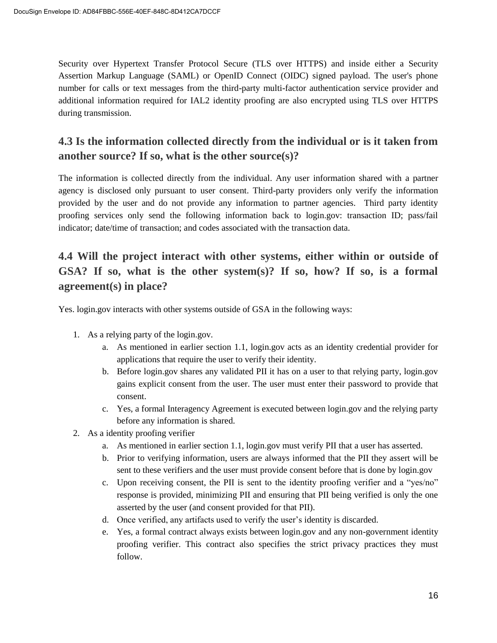Security over Hypertext Transfer Protocol Secure (TLS over HTTPS) and inside either a Security Assertion Markup Language (SAML) or OpenID Connect (OIDC) signed payload. The user's phone number for calls or text messages from the third-party multi-factor authentication service provider and additional information required for IAL2 identity proofing are also encrypted using TLS over HTTPS during transmission.

## <span id="page-15-0"></span>**4.3 Is the information collected directly from the individual or is it taken from another source? If so, what is the other source(s)?**

The information is collected directly from the individual. Any user information shared with a partner agency is disclosed only pursuant to user consent. Third-party providers only verify the information provided by the user and do not provide any information to partner agencies. Third party identity proofing services only send the following information back to login.gov: transaction ID; pass/fail indicator; date/time of transaction; and codes associated with the transaction data.

# <span id="page-15-1"></span>**4.4 Will the project interact with other systems, either within or outside of GSA? If so, what is the other system(s)? If so, how? If so, is a formal agreement(s) in place?**

Yes. login.gov interacts with other systems outside of GSA in the following ways:

- 1. As a relying party of the login.gov.
	- a. As mentioned in earlier section 1.1, login.gov acts as an identity credential provider for applications that require the user to verify their identity.
	- b. Before login.gov shares any validated PII it has on a user to that relying party, login.gov gains explicit consent from the user. The user must enter their password to provide that consent.
	- c. Yes, a formal Interagency Agreement is executed between login.gov and the relying party before any information is shared.
- 2. As a identity proofing verifier
	- a. As mentioned in earlier section 1.1, login.gov must verify PII that a user has asserted.
	- b. Prior to verifying information, users are always informed that the PII they assert will be sent to these verifiers and the user must provide consent before that is done by login.gov
	- c. Upon receiving consent, the PII is sent to the identity proofing verifier and a "yes/no" response is provided, minimizing PII and ensuring that PII being verified is only the one asserted by the user (and consent provided for that PII).
	- d. Once verified, any artifacts used to verify the user's identity is discarded.
	- e. Yes, a formal contract always exists between login.gov and any non-government identity proofing verifier. This contract also specifies the strict privacy practices they must follow.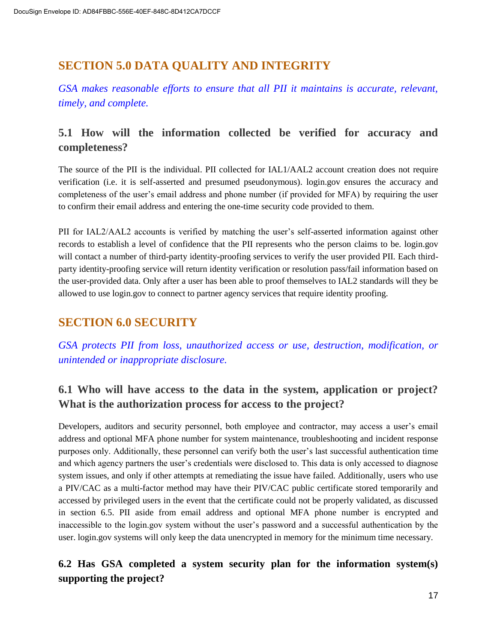# <span id="page-16-0"></span>**SECTION 5.0 DATA QUALITY AND INTEGRITY**

*GSA makes reasonable efforts to ensure that all PII it maintains is accurate, relevant, timely, and complete.*

## <span id="page-16-1"></span>**5.1 How will the information collected be verified for accuracy and completeness?**

The source of the PII is the individual. PII collected for IAL1/AAL2 account creation does not require verification (i.e. it is self-asserted and presumed pseudonymous). login.gov ensures the accuracy and completeness of the user's email address and phone number (if provided for MFA) by requiring the user to confirm their email address and entering the one-time security code provided to them.

PII for IAL2/AAL2 accounts is verified by matching the user's self-asserted information against other records to establish a level of confidence that the PII represents who the person claims to be*.* login.gov will contact a number of third-party identity-proofing services to verify the user provided PII. Each thirdparty identity-proofing service will return identity verification or resolution pass/fail information based on the user-provided data. Only after a user has been able to proof themselves to IAL2 standards will they be allowed to use login.gov to connect to partner agency services that require identity proofing.

# <span id="page-16-2"></span>**SECTION 6.0 SECURITY**

*GSA protects PII from loss, unauthorized access or use, destruction, modification, or unintended or inappropriate disclosure.*

## <span id="page-16-3"></span>**6.1 Who will have access to the data in the system, application or project? What is the authorization process for access to the project?**

Developers, auditors and security personnel, both employee and contractor, may access a user's email address and optional MFA phone number for system maintenance, troubleshooting and incident response purposes only. Additionally, these personnel can verify both the user's last successful authentication time and which agency partners the user's credentials were disclosed to. This data is only accessed to diagnose system issues, and only if other attempts at remediating the issue have failed. Additionally, users who use a PIV/CAC as a multi-factor method may have their PIV/CAC public certificate stored temporarily and accessed by privileged users in the event that the certificate could not be properly validated, as discussed in section 6.5. PII aside from email address and optional MFA phone number is encrypted and inaccessible to the login.gov system without the user's password and a successful authentication by the user. login.gov systems will only keep the data unencrypted in memory for the minimum time necessary.

## **6.2 Has GSA completed a system security plan for the information system(s) supporting the project?**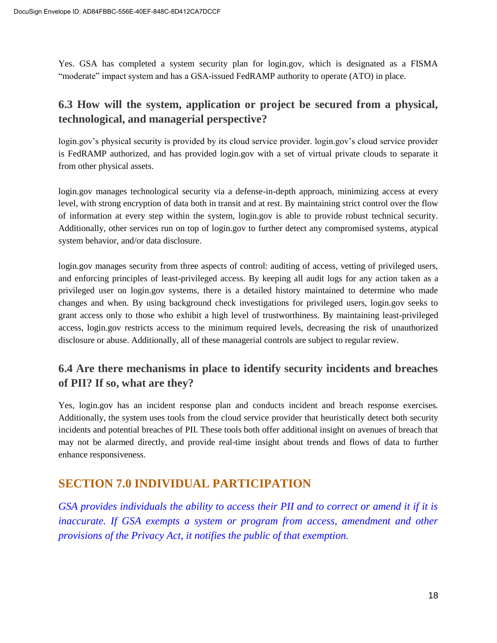Yes. GSA has completed a system security plan for login.gov, which is designated as a FISMA "moderate" impact system and has a GSA-issued FedRAMP authority to operate (ATO) in place.

## **6.3 How will the system, application or project be secured from a physical, technological, and managerial perspective?**

login.gov's physical security is provided by its cloud service provider. login.gov's cloud service provider is FedRAMP authorized, and has provided login.gov with a set of virtual private clouds to separate it from other physical assets.

login.gov manages technological security via a defense-in-depth approach, minimizing access at every level, with strong encryption of data both in transit and at rest. By maintaining strict control over the flow of information at every step within the system, login.gov is able to provide robust technical security. Additionally, other services run on top of login.gov to further detect any compromised systems, atypical system behavior, and/or data disclosure.

login.gov manages security from three aspects of control: auditing of access, vetting of privileged users, and enforcing principles of least-privileged access. By keeping all audit logs for any action taken as a privileged user on login.gov systems, there is a detailed history maintained to determine who made changes and when. By using background check investigations for privileged users, login.gov seeks to grant access only to those who exhibit a high level of trustworthiness. By maintaining least-privileged access, login.gov restricts access to the minimum required levels, decreasing the risk of unauthorized disclosure or abuse. Additionally, all of these managerial controls are subject to regular review.

## **6.4 Are there mechanisms in place to identify security incidents and breaches of PII? If so, what are they?**

Yes, login.gov has an incident response plan and conducts incident and breach response exercises. Additionally, the system uses tools from the cloud service provider that heuristically detect both security incidents and potential breaches of PII. These tools both offer additional insight on avenues of breach that may not be alarmed directly, and provide real-time insight about trends and flows of data to further enhance responsiveness.

# **SECTION 7.0 INDIVIDUAL PARTICIPATION**

*GSA provides individuals the ability to access their PII and to correct or amend it if it is inaccurate. If GSA exempts a system or program from access, amendment and other provisions of the Privacy Act, it notifies the public of that exemption.*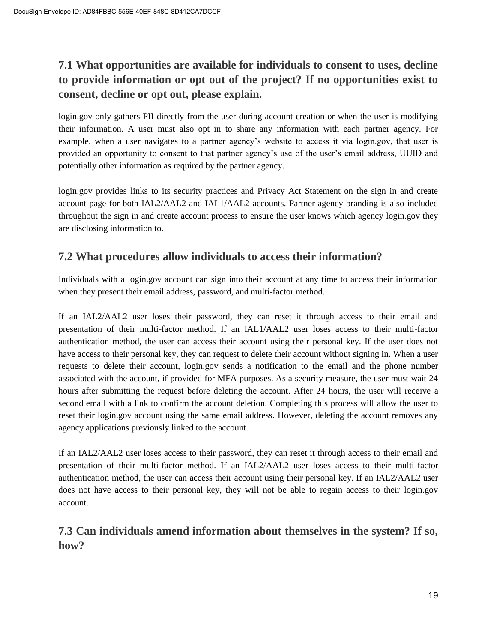# **7.1 What opportunities are available for individuals to consent to uses, decline to provide information or opt out of the project? If no opportunities exist to consent, decline or opt out, please explain.**

login.gov only gathers PII directly from the user during account creation or when the user is modifying their information. A user must also opt in to share any information with each partner agency. For example, when a user navigates to a partner agency's website to access it via login.gov, that user is provided an opportunity to consent to that partner agency's use of the user's email address, UUID and potentially other information as required by the partner agency.

login.gov provides links to its security practices and Privacy Act Statement on the sign in and create account page for both IAL2/AAL2 and IAL1/AAL2 accounts. Partner agency branding is also included throughout the sign in and create account process to ensure the user knows which agency login.gov they are disclosing information to.

## **7.2 What procedures allow individuals to access their information?**

Individuals with a login.gov account can sign into their account at any time to access their information when they present their email address, password, and multi-factor method.

If an IAL2/AAL2 user loses their password, they can reset it through access to their email and presentation of their multi-factor method. If an IAL1/AAL2 user loses access to their multi-factor authentication method, the user can access their account using their personal key. If the user does not have access to their personal key, they can request to delete their account without signing in. When a user requests to delete their account, login.gov sends a notification to the email and the phone number associated with the account, if provided for MFA purposes. As a security measure, the user must wait 24 hours after submitting the request before deleting the account. After 24 hours, the user will receive a second email with a link to confirm the account deletion. Completing this process will allow the user to reset their login.gov account using the same email address. However, deleting the account removes any agency applications previously linked to the account.

If an IAL2/AAL2 user loses access to their password, they can reset it through access to their email and presentation of their multi-factor method. If an IAL2/AAL2 user loses access to their multi-factor authentication method, the user can access their account using their personal key. If an IAL2/AAL2 user does not have access to their personal key, they will not be able to regain access to their login.gov account.

## **7.3 Can individuals amend information about themselves in the system? If so, how?**